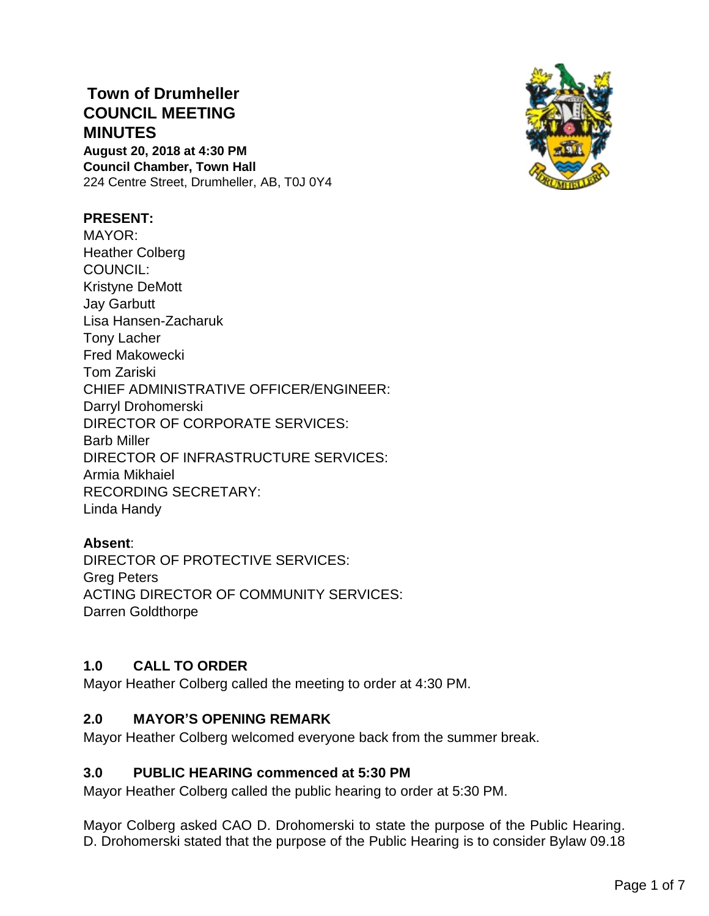# **Town of Drumheller COUNCIL MEETING MINUTES**

**August 20, 2018 at 4:30 PM Council Chamber, Town Hall** 224 Centre Street, Drumheller, AB, T0J 0Y4



## **PRESENT:**

MAYOR: Heather Colberg COUNCIL: Kristyne DeMott Jay Garbutt Lisa Hansen-Zacharuk Tony Lacher Fred Makowecki Tom Zariski CHIEF ADMINISTRATIVE OFFICER/ENGINEER: Darryl Drohomerski DIRECTOR OF CORPORATE SERVICES: Barb Miller DIRECTOR OF INFRASTRUCTURE SERVICES: Armia Mikhaiel RECORDING SECRETARY: Linda Handy

# **Absent**:

DIRECTOR OF PROTECTIVE SERVICES: Greg Peters ACTING DIRECTOR OF COMMUNITY SERVICES: Darren Goldthorpe

# **1.0 CALL TO ORDER**

Mayor Heather Colberg called the meeting to order at 4:30 PM.

## **2.0 MAYOR'S OPENING REMARK**

Mayor Heather Colberg welcomed everyone back from the summer break.

## **3.0 PUBLIC HEARING commenced at 5:30 PM**

Mayor Heather Colberg called the public hearing to order at 5:30 PM.

Mayor Colberg asked CAO D. Drohomerski to state the purpose of the Public Hearing. D. Drohomerski stated that the purpose of the Public Hearing is to consider Bylaw 09.18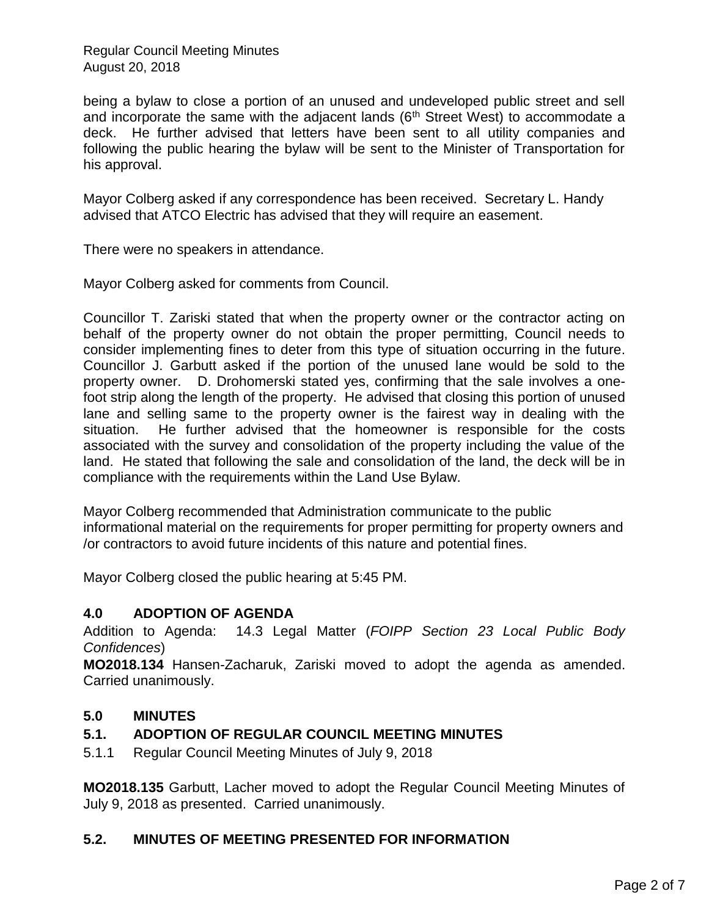being a bylaw to close a portion of an unused and undeveloped public street and sell and incorporate the same with the adjacent lands  $(6<sup>th</sup>$  Street West) to accommodate a deck. He further advised that letters have been sent to all utility companies and following the public hearing the bylaw will be sent to the Minister of Transportation for his approval.

Mayor Colberg asked if any correspondence has been received. Secretary L. Handy advised that ATCO Electric has advised that they will require an easement.

There were no speakers in attendance.

Mayor Colberg asked for comments from Council.

Councillor T. Zariski stated that when the property owner or the contractor acting on behalf of the property owner do not obtain the proper permitting, Council needs to consider implementing fines to deter from this type of situation occurring in the future. Councillor J. Garbutt asked if the portion of the unused lane would be sold to the property owner. D. Drohomerski stated yes, confirming that the sale involves a onefoot strip along the length of the property. He advised that closing this portion of unused lane and selling same to the property owner is the fairest way in dealing with the situation. He further advised that the homeowner is responsible for the costs associated with the survey and consolidation of the property including the value of the land. He stated that following the sale and consolidation of the land, the deck will be in compliance with the requirements within the Land Use Bylaw.

Mayor Colberg recommended that Administration communicate to the public informational material on the requirements for proper permitting for property owners and /or contractors to avoid future incidents of this nature and potential fines.

Mayor Colberg closed the public hearing at 5:45 PM.

## **4.0 ADOPTION OF AGENDA**

Addition to Agenda: 14.3 Legal Matter (*FOIPP Section 23 Local Public Body Confidences*)

**MO2018.134** Hansen-Zacharuk, Zariski moved to adopt the agenda as amended. Carried unanimously.

## **5.0 MINUTES**

# **5.1. ADOPTION OF REGULAR COUNCIL MEETING MINUTES**

5.1.1 Regular Council Meeting Minutes of July 9, 2018

**MO2018.135** Garbutt, Lacher moved to adopt the Regular Council Meeting Minutes of July 9, 2018 as presented. Carried unanimously.

## **5.2. MINUTES OF MEETING PRESENTED FOR INFORMATION**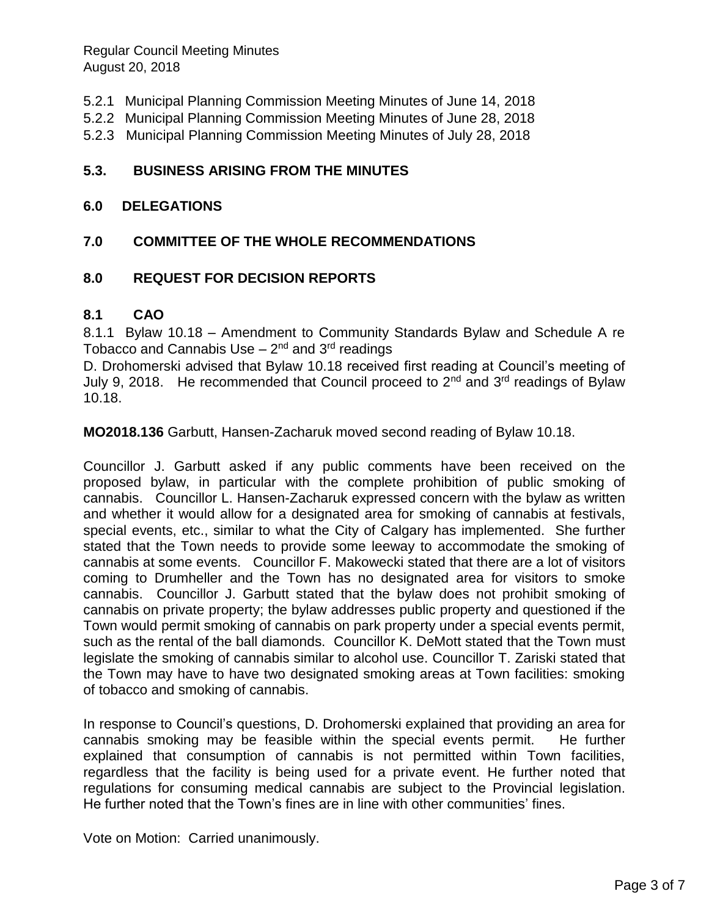- 5.2.1 Municipal Planning Commission Meeting Minutes of June 14, 2018
- 5.2.2 Municipal Planning Commission Meeting Minutes of June 28, 2018
- 5.2.3 Municipal Planning Commission Meeting Minutes of July 28, 2018

## **5.3. BUSINESS ARISING FROM THE MINUTES**

#### **6.0 DELEGATIONS**

## **7.0 COMMITTEE OF THE WHOLE RECOMMENDATIONS**

## **8.0 REQUEST FOR DECISION REPORTS**

#### **8.1 CAO**

8.1.1 Bylaw 10.18 – Amendment to Community Standards Bylaw and Schedule A re Tobacco and Cannabis Use – 2<sup>nd</sup> and 3<sup>rd</sup> readings

D. Drohomerski advised that Bylaw 10.18 received first reading at Council's meeting of July 9, 2018. He recommended that Council proceed to  $2^{nd}$  and  $3^{rd}$  readings of Bylaw 10.18.

**MO2018.136** Garbutt, Hansen-Zacharuk moved second reading of Bylaw 10.18.

Councillor J. Garbutt asked if any public comments have been received on the proposed bylaw, in particular with the complete prohibition of public smoking of cannabis. Councillor L. Hansen-Zacharuk expressed concern with the bylaw as written and whether it would allow for a designated area for smoking of cannabis at festivals, special events, etc., similar to what the City of Calgary has implemented. She further stated that the Town needs to provide some leeway to accommodate the smoking of cannabis at some events. Councillor F. Makowecki stated that there are a lot of visitors coming to Drumheller and the Town has no designated area for visitors to smoke cannabis. Councillor J. Garbutt stated that the bylaw does not prohibit smoking of cannabis on private property; the bylaw addresses public property and questioned if the Town would permit smoking of cannabis on park property under a special events permit, such as the rental of the ball diamonds. Councillor K. DeMott stated that the Town must legislate the smoking of cannabis similar to alcohol use. Councillor T. Zariski stated that the Town may have to have two designated smoking areas at Town facilities: smoking of tobacco and smoking of cannabis.

In response to Council's questions, D. Drohomerski explained that providing an area for cannabis smoking may be feasible within the special events permit. He further explained that consumption of cannabis is not permitted within Town facilities, regardless that the facility is being used for a private event. He further noted that regulations for consuming medical cannabis are subject to the Provincial legislation. He further noted that the Town's fines are in line with other communities' fines.

Vote on Motion: Carried unanimously.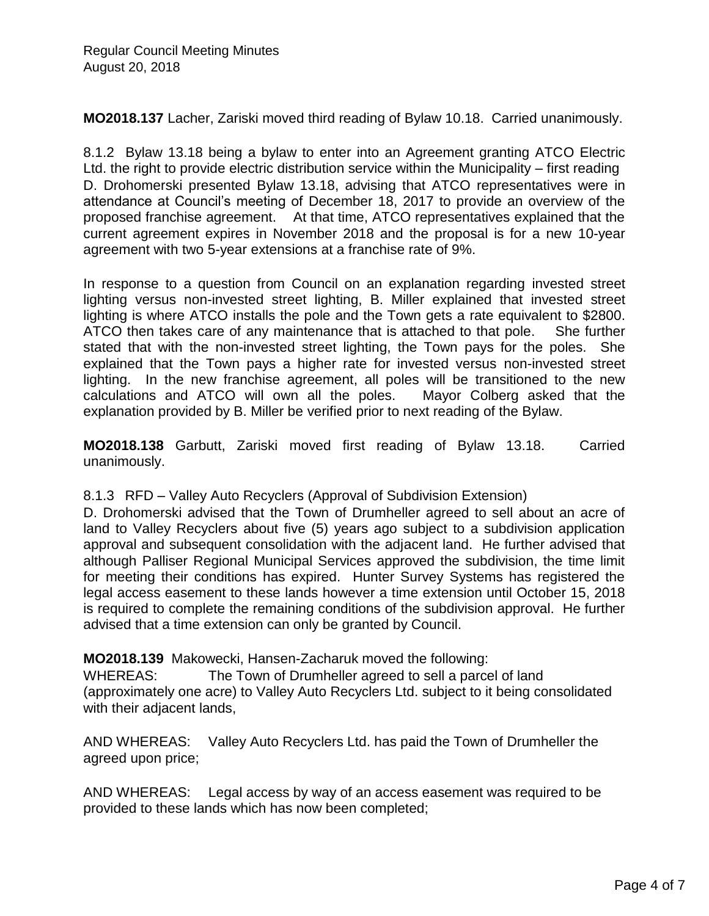**MO2018.137** Lacher, Zariski moved third reading of Bylaw 10.18. Carried unanimously.

8.1.2 Bylaw 13.18 being a bylaw to enter into an Agreement granting ATCO Electric Ltd. the right to provide electric distribution service within the Municipality – first reading D. Drohomerski presented Bylaw 13.18, advising that ATCO representatives were in attendance at Council's meeting of December 18, 2017 to provide an overview of the proposed franchise agreement. At that time, ATCO representatives explained that the current agreement expires in November 2018 and the proposal is for a new 10-year agreement with two 5-year extensions at a franchise rate of 9%.

In response to a question from Council on an explanation regarding invested street lighting versus non-invested street lighting, B. Miller explained that invested street lighting is where ATCO installs the pole and the Town gets a rate equivalent to \$2800. ATCO then takes care of any maintenance that is attached to that pole. She further stated that with the non-invested street lighting, the Town pays for the poles. She explained that the Town pays a higher rate for invested versus non-invested street lighting. In the new franchise agreement, all poles will be transitioned to the new calculations and ATCO will own all the poles. Mayor Colberg asked that the explanation provided by B. Miller be verified prior to next reading of the Bylaw.

**MO2018.138** Garbutt, Zariski moved first reading of Bylaw 13.18. Carried unanimously.

8.1.3 RFD – Valley Auto Recyclers (Approval of Subdivision Extension)

D. Drohomerski advised that the Town of Drumheller agreed to sell about an acre of land to Valley Recyclers about five (5) years ago subject to a subdivision application approval and subsequent consolidation with the adjacent land. He further advised that although Palliser Regional Municipal Services approved the subdivision, the time limit for meeting their conditions has expired. Hunter Survey Systems has registered the legal access easement to these lands however a time extension until October 15, 2018 is required to complete the remaining conditions of the subdivision approval. He further advised that a time extension can only be granted by Council.

**MO2018.139** Makowecki, Hansen-Zacharuk moved the following:

WHEREAS: The Town of Drumheller agreed to sell a parcel of land (approximately one acre) to Valley Auto Recyclers Ltd. subject to it being consolidated with their adjacent lands,

AND WHEREAS: Valley Auto Recyclers Ltd. has paid the Town of Drumheller the agreed upon price;

AND WHEREAS: Legal access by way of an access easement was required to be provided to these lands which has now been completed;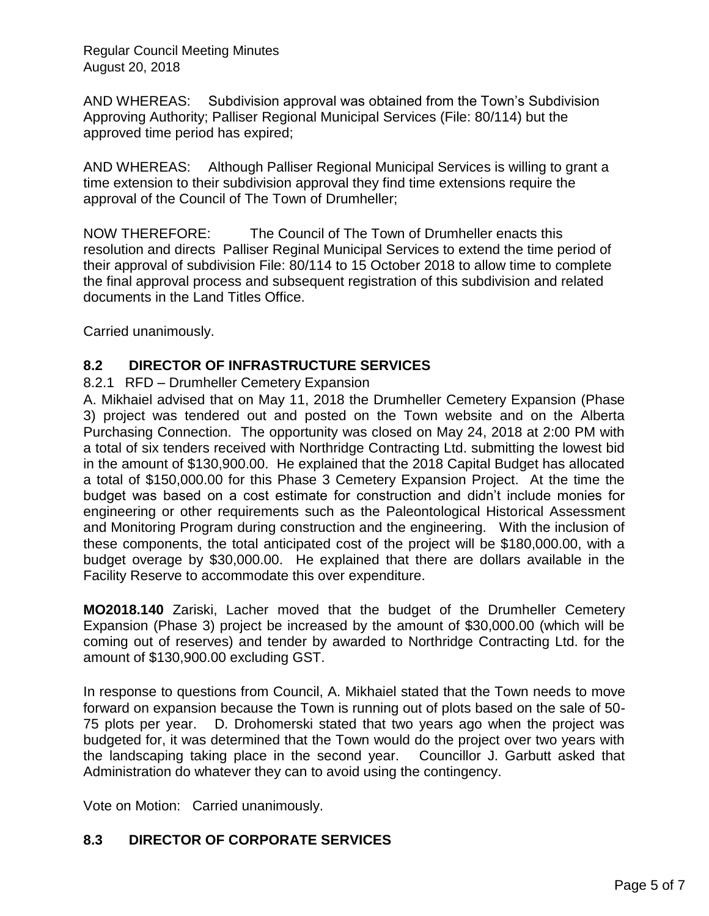AND WHEREAS: Subdivision approval was obtained from the Town's Subdivision Approving Authority; Palliser Regional Municipal Services (File: 80/114) but the approved time period has expired;

AND WHEREAS: Although Palliser Regional Municipal Services is willing to grant a time extension to their subdivision approval they find time extensions require the approval of the Council of The Town of Drumheller;

NOW THEREFORE: The Council of The Town of Drumheller enacts this resolution and directs Palliser Reginal Municipal Services to extend the time period of their approval of subdivision File: 80/114 to 15 October 2018 to allow time to complete the final approval process and subsequent registration of this subdivision and related documents in the Land Titles Office.

Carried unanimously.

# **8.2 DIRECTOR OF INFRASTRUCTURE SERVICES**

## 8.2.1 RFD – Drumheller Cemetery Expansion

A. Mikhaiel advised that on May 11, 2018 the Drumheller Cemetery Expansion (Phase 3) project was tendered out and posted on the Town website and on the Alberta Purchasing Connection. The opportunity was closed on May 24, 2018 at 2:00 PM with a total of six tenders received with Northridge Contracting Ltd. submitting the lowest bid in the amount of \$130,900.00. He explained that the 2018 Capital Budget has allocated a total of \$150,000.00 for this Phase 3 Cemetery Expansion Project. At the time the budget was based on a cost estimate for construction and didn't include monies for engineering or other requirements such as the Paleontological Historical Assessment and Monitoring Program during construction and the engineering. With the inclusion of these components, the total anticipated cost of the project will be \$180,000.00, with a budget overage by \$30,000.00. He explained that there are dollars available in the Facility Reserve to accommodate this over expenditure.

**MO2018.140** Zariski, Lacher moved that the budget of the Drumheller Cemetery Expansion (Phase 3) project be increased by the amount of \$30,000.00 (which will be coming out of reserves) and tender by awarded to Northridge Contracting Ltd. for the amount of \$130,900.00 excluding GST.

In response to questions from Council, A. Mikhaiel stated that the Town needs to move forward on expansion because the Town is running out of plots based on the sale of 50- 75 plots per year. D. Drohomerski stated that two years ago when the project was budgeted for, it was determined that the Town would do the project over two years with the landscaping taking place in the second year. Councillor J. Garbutt asked that Administration do whatever they can to avoid using the contingency.

Vote on Motion: Carried unanimously.

# **8.3 DIRECTOR OF CORPORATE SERVICES**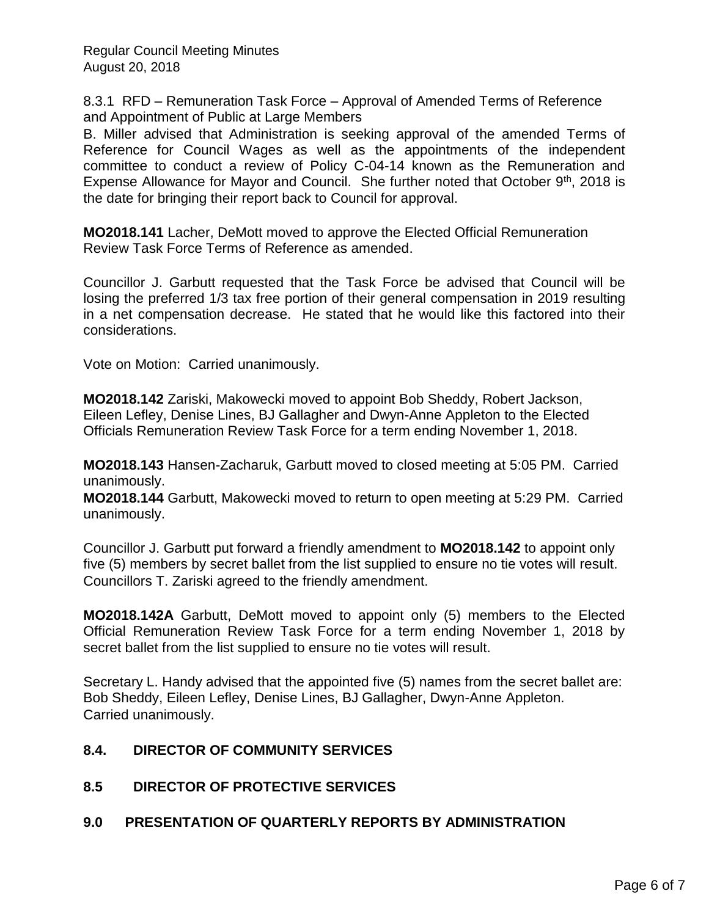8.3.1 RFD – Remuneration Task Force – Approval of Amended Terms of Reference and Appointment of Public at Large Members

B. Miller advised that Administration is seeking approval of the amended Terms of Reference for Council Wages as well as the appointments of the independent committee to conduct a review of Policy C-04-14 known as the Remuneration and Expense Allowance for Mayor and Council. She further noted that October  $9<sup>th</sup>$ , 2018 is the date for bringing their report back to Council for approval.

**MO2018.141** Lacher, DeMott moved to approve the Elected Official Remuneration Review Task Force Terms of Reference as amended.

Councillor J. Garbutt requested that the Task Force be advised that Council will be losing the preferred 1/3 tax free portion of their general compensation in 2019 resulting in a net compensation decrease. He stated that he would like this factored into their considerations.

Vote on Motion: Carried unanimously.

**MO2018.142** Zariski, Makowecki moved to appoint Bob Sheddy, Robert Jackson, Eileen Lefley, Denise Lines, BJ Gallagher and Dwyn-Anne Appleton to the Elected Officials Remuneration Review Task Force for a term ending November 1, 2018.

**MO2018.143** Hansen-Zacharuk, Garbutt moved to closed meeting at 5:05 PM. Carried unanimously.

**MO2018.144** Garbutt, Makowecki moved to return to open meeting at 5:29 PM. Carried unanimously.

Councillor J. Garbutt put forward a friendly amendment to **MO2018.142** to appoint only five (5) members by secret ballet from the list supplied to ensure no tie votes will result. Councillors T. Zariski agreed to the friendly amendment.

**MO2018.142A** Garbutt, DeMott moved to appoint only (5) members to the Elected Official Remuneration Review Task Force for a term ending November 1, 2018 by secret ballet from the list supplied to ensure no tie votes will result.

Secretary L. Handy advised that the appointed five (5) names from the secret ballet are: Bob Sheddy, Eileen Lefley, Denise Lines, BJ Gallagher, Dwyn-Anne Appleton. Carried unanimously.

# **8.4. DIRECTOR OF COMMUNITY SERVICES**

**8.5 DIRECTOR OF PROTECTIVE SERVICES**

## **9.0 PRESENTATION OF QUARTERLY REPORTS BY ADMINISTRATION**